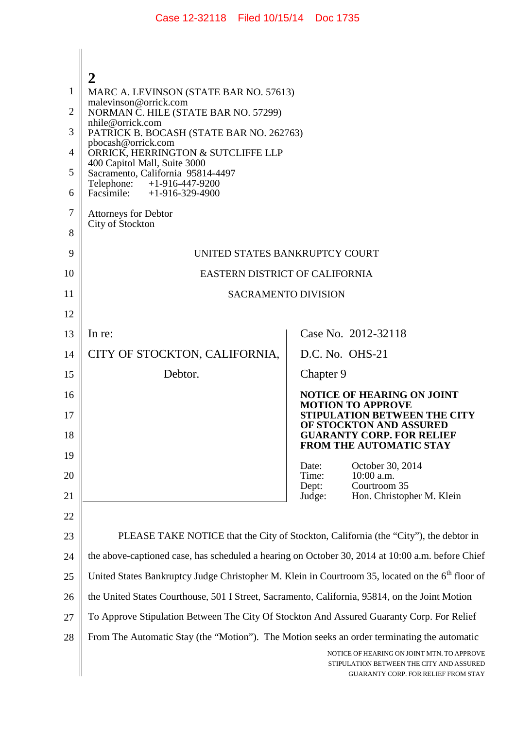|    | 2                                                                                                                                                                     |                                                                                                                                      |  |  |
|----|-----------------------------------------------------------------------------------------------------------------------------------------------------------------------|--------------------------------------------------------------------------------------------------------------------------------------|--|--|
| 1  | MARC A. LEVINSON (STATE BAR NO. 57613)<br>malevinson@orrick.com                                                                                                       |                                                                                                                                      |  |  |
| 2  | NORMAN C. HILE (STATE BAR NO. 57299)<br>nhile@orrick.com                                                                                                              |                                                                                                                                      |  |  |
| 3  | PATRICK B. BOCASH (STATE BAR NO. 262763)<br>pbocash@orrick.com                                                                                                        |                                                                                                                                      |  |  |
| 4  | ORRICK, HERRINGTON & SUTCLIFFE LLP<br>400 Capitol Mall, Suite 3000<br>Sacramento, California 95814-4497<br>Telephone: +1-916-447-9200<br>Facsimile: $+1-916-329-4900$ |                                                                                                                                      |  |  |
| 5  |                                                                                                                                                                       |                                                                                                                                      |  |  |
| 6  |                                                                                                                                                                       |                                                                                                                                      |  |  |
| 7  | Attorneys for Debtor<br>City of Stockton                                                                                                                              |                                                                                                                                      |  |  |
| 8  |                                                                                                                                                                       |                                                                                                                                      |  |  |
| 9  | UNITED STATES BANKRUPTCY COURT                                                                                                                                        |                                                                                                                                      |  |  |
| 10 | EASTERN DISTRICT OF CALIFORNIA                                                                                                                                        |                                                                                                                                      |  |  |
| 11 | <b>SACRAMENTO DIVISION</b>                                                                                                                                            |                                                                                                                                      |  |  |
| 12 |                                                                                                                                                                       |                                                                                                                                      |  |  |
| 13 | In re:                                                                                                                                                                | Case No. 2012-32118                                                                                                                  |  |  |
| 14 | CITY OF STOCKTON, CALIFORNIA,                                                                                                                                         | D.C. No. OHS-21                                                                                                                      |  |  |
| 15 | Debtor.                                                                                                                                                               | Chapter 9                                                                                                                            |  |  |
| 16 |                                                                                                                                                                       | <b>NOTICE OF HEARING ON JOINT</b><br><b>MOTION TO APPROVE</b>                                                                        |  |  |
| 17 |                                                                                                                                                                       | <b>STIPULATION BETWEEN THE CITY</b><br>OF STOCKTON AND ASSURED                                                                       |  |  |
| 18 |                                                                                                                                                                       | <b>GUARANTY CORP. FOR RELIEF</b><br><b>FROM THE AUTOMATIC STAY</b>                                                                   |  |  |
| 19 |                                                                                                                                                                       | October 30, 2014<br>Date:                                                                                                            |  |  |
| 20 |                                                                                                                                                                       | Time:<br>$10:00$ a.m.<br>Courtroom 35<br>Dept:                                                                                       |  |  |
| 21 |                                                                                                                                                                       | Judge:<br>Hon. Christopher M. Klein                                                                                                  |  |  |
| 22 |                                                                                                                                                                       |                                                                                                                                      |  |  |
| 23 | PLEASE TAKE NOTICE that the City of Stockton, California (the "City"), the debtor in                                                                                  |                                                                                                                                      |  |  |
| 24 | the above-captioned case, has scheduled a hearing on October 30, 2014 at 10:00 a.m. before Chief                                                                      |                                                                                                                                      |  |  |
| 25 | United States Bankruptcy Judge Christopher M. Klein in Courtroom 35, located on the 6 <sup>th</sup> floor of                                                          |                                                                                                                                      |  |  |
| 26 | the United States Courthouse, 501 I Street, Sacramento, California, 95814, on the Joint Motion                                                                        |                                                                                                                                      |  |  |
| 27 | To Approve Stipulation Between The City Of Stockton And Assured Guaranty Corp. For Relief                                                                             |                                                                                                                                      |  |  |
| 28 | From The Automatic Stay (the "Motion"). The Motion seeks an order terminating the automatic                                                                           |                                                                                                                                      |  |  |
|    |                                                                                                                                                                       | NOTICE OF HEARING ON JOINT MTN. TO APPROVE<br>STIPULATION BETWEEN THE CITY AND ASSURED<br><b>GUARANTY CORP. FOR RELIEF FROM STAY</b> |  |  |